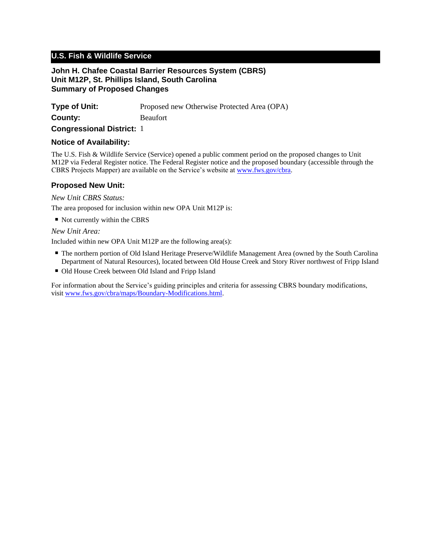# **U.S. Fish & Wildlife Service**

#### **John H. Chafee Coastal Barrier Resources System (CBRS) Unit M12P, St. Phillips Island, South Carolina Summary of Proposed Changes**

| <b>Type of Unit:</b> | Proposed new Otherwise Protected Area (OPA) |
|----------------------|---------------------------------------------|
| County:              | <b>Beaufort</b>                             |

**Congressional District:** 1

#### **Notice of Availability:**

The U.S. Fish & Wildlife Service (Service) opened a public comment period on the proposed changes to Unit M12P via Federal Register notice. The Federal Register notice and the proposed boundary (accessible through the CBRS Projects Mapper) are available on the Service's website at www.fws.gov/cbra.

### **Proposed New Unit:**

*New Unit CBRS Status:*

The area proposed for inclusion within new OPA Unit M12P is:

■ Not currently within the CBRS

## *New Unit Area:*

Included within new OPA Unit M12P are the following area(s):

- The northern portion of Old Island Heritage Preserve/Wildlife Management Area (owned by the South Carolina Department of Natural Resources), located between Old House Creek and Story River northwest of Fripp Island
- Old House Creek between Old Island and Fripp Island

For information about the Service's guiding principles and criteria for assessing CBRS boundary modifications, visit www.fws.gov/cbra/maps/Boundary-Modifications.html.